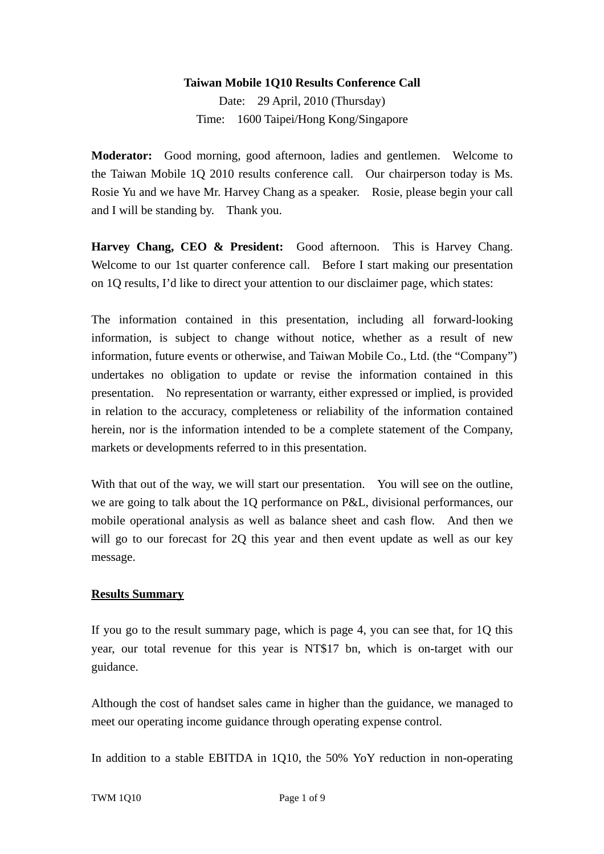#### **Taiwan Mobile 1Q10 Results Conference Call**

Date: 29 April, 2010 (Thursday) Time: 1600 Taipei/Hong Kong/Singapore

**Moderator:** Good morning, good afternoon, ladies and gentlemen. Welcome to the Taiwan Mobile 1Q 2010 results conference call. Our chairperson today is Ms. Rosie Yu and we have Mr. Harvey Chang as a speaker. Rosie, please begin your call and I will be standing by. Thank you.

**Harvey Chang, CEO & President:** Good afternoon. This is Harvey Chang. Welcome to our 1st quarter conference call. Before I start making our presentation on 1Q results, I'd like to direct your attention to our disclaimer page, which states:

The information contained in this presentation, including all forward-looking information, is subject to change without notice, whether as a result of new information, future events or otherwise, and Taiwan Mobile Co., Ltd. (the "Company") undertakes no obligation to update or revise the information contained in this presentation. No representation or warranty, either expressed or implied, is provided in relation to the accuracy, completeness or reliability of the information contained herein, nor is the information intended to be a complete statement of the Company, markets or developments referred to in this presentation.

With that out of the way, we will start our presentation. You will see on the outline, we are going to talk about the 1Q performance on P&L, divisional performances, our mobile operational analysis as well as balance sheet and cash flow. And then we will go to our forecast for 2Q this year and then event update as well as our key message.

#### **Results Summary**

If you go to the result summary page, which is page 4, you can see that, for 1Q this year, our total revenue for this year is NT\$17 bn, which is on-target with our guidance.

Although the cost of handset sales came in higher than the guidance, we managed to meet our operating income guidance through operating expense control.

In addition to a stable EBITDA in 1Q10, the 50% YoY reduction in non-operating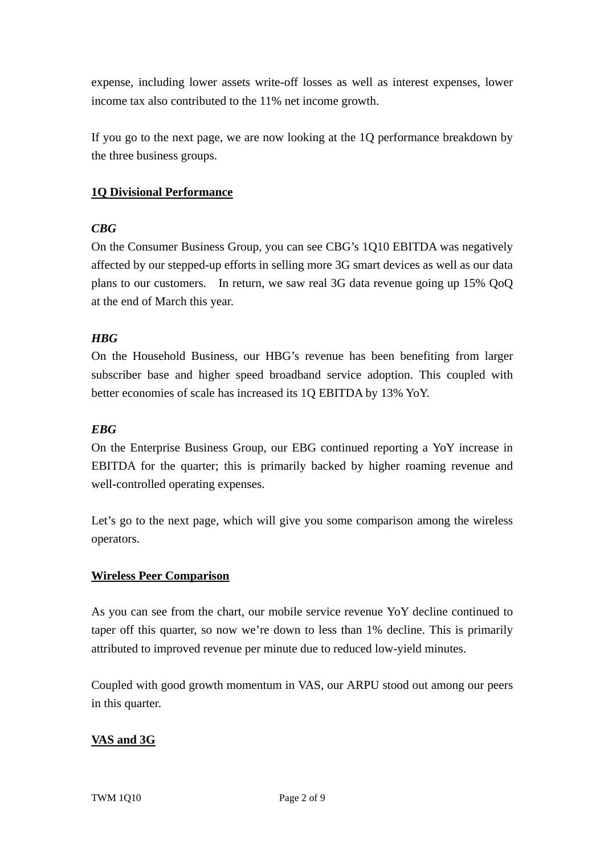expense, including lower assets write-off losses as well as interest expenses, lower income tax also contributed to the 11% net income growth.

If you go to the next page, we are now looking at the 1Q performance breakdown by the three business groups.

## **1Q Divisional Performance**

## *CBG*

On the Consumer Business Group, you can see CBG's 1Q10 EBITDA was negatively affected by our stepped-up efforts in selling more 3G smart devices as well as our data plans to our customers. In return, we saw real 3G data revenue going up 15% QoQ at the end of March this year.

# *HBG*

On the Household Business, our HBG's revenue has been benefiting from larger subscriber base and higher speed broadband service adoption. This coupled with better economies of scale has increased its 1Q EBITDA by 13% YoY.

## *EBG*

On the Enterprise Business Group, our EBG continued reporting a YoY increase in EBITDA for the quarter; this is primarily backed by higher roaming revenue and well-controlled operating expenses.

Let's go to the next page, which will give you some comparison among the wireless operators.

## **Wireless Peer Comparison**

As you can see from the chart, our mobile service revenue YoY decline continued to taper off this quarter, so now we're down to less than 1% decline. This is primarily attributed to improved revenue per minute due to reduced low-yield minutes.

Coupled with good growth momentum in VAS, our ARPU stood out among our peers in this quarter.

# **VAS and 3G**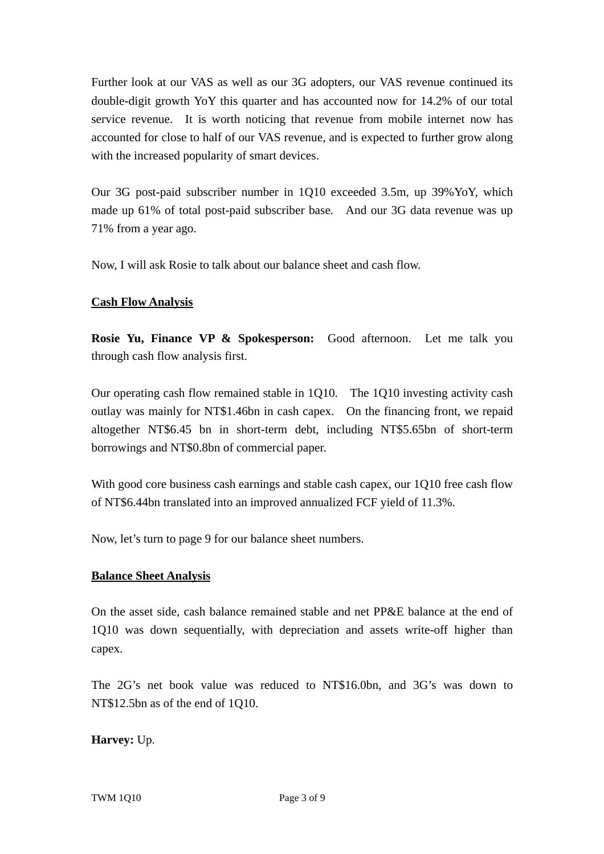Further look at our VAS as well as our 3G adopters, our VAS revenue continued its double-digit growth YoY this quarter and has accounted now for 14.2% of our total service revenue. It is worth noticing that revenue from mobile internet now has accounted for close to half of our VAS revenue, and is expected to further grow along with the increased popularity of smart devices.

Our 3G post-paid subscriber number in 1Q10 exceeded 3.5m, up 39%YoY, which made up 61% of total post-paid subscriber base. And our 3G data revenue was up 71% from a year ago.

Now, I will ask Rosie to talk about our balance sheet and cash flow.

## **Cash Flow Analysis**

**Rosie Yu, Finance VP & Spokesperson:** Good afternoon. Let me talk you through cash flow analysis first.

Our operating cash flow remained stable in 1Q10. The 1Q10 investing activity cash outlay was mainly for NT\$1.46bn in cash capex. On the financing front, we repaid altogether NT\$6.45 bn in short-term debt, including NT\$5.65bn of short-term borrowings and NT\$0.8bn of commercial paper.

With good core business cash earnings and stable cash capex, our 1Q10 free cash flow of NT\$6.44bn translated into an improved annualized FCF yield of 11.3%.

Now, let's turn to page 9 for our balance sheet numbers.

#### **Balance Sheet Analysis**

On the asset side, cash balance remained stable and net PP&E balance at the end of 1Q10 was down sequentially, with depreciation and assets write-off higher than capex.

The 2G's net book value was reduced to NT\$16.0bn, and 3G's was down to NT\$12.5bn as of the end of 1Q10.

## **Harvey:** Up.

TWM 1Q10 Page 3 of 9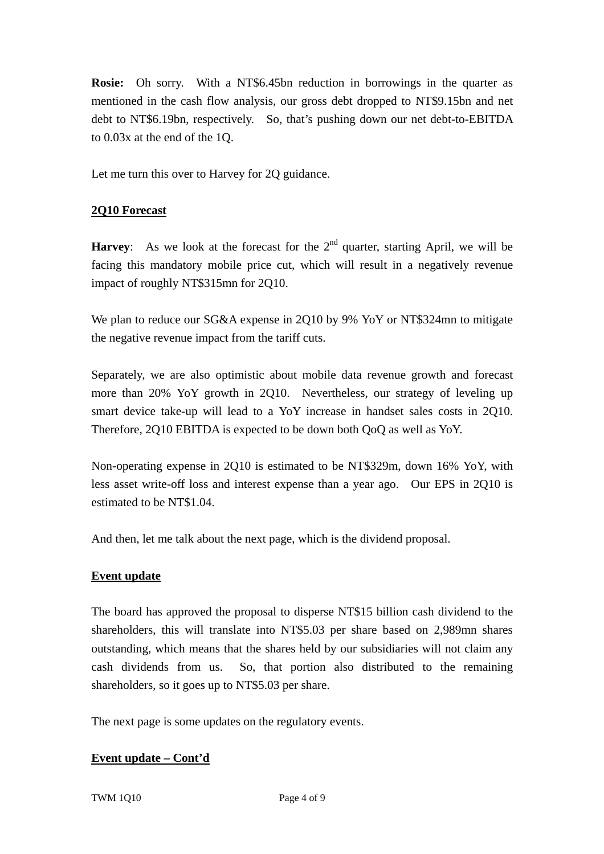**Rosie:** Oh sorry. With a NT\$6.45bn reduction in borrowings in the quarter as mentioned in the cash flow analysis, our gross debt dropped to NT\$9.15bn and net debt to NT\$6.19bn, respectively. So, that's pushing down our net debt-to-EBITDA to 0.03x at the end of the 1Q.

Let me turn this over to Harvey for 2Q guidance.

### **2Q10 Forecast**

**Harvey**: As we look at the forecast for the  $2<sup>nd</sup>$  quarter, starting April, we will be facing this mandatory mobile price cut, which will result in a negatively revenue impact of roughly NT\$315mn for 2Q10.

We plan to reduce our SG&A expense in 2Q10 by 9% YoY or NT\$324mn to mitigate the negative revenue impact from the tariff cuts.

Separately, we are also optimistic about mobile data revenue growth and forecast more than 20% YoY growth in 2Q10. Nevertheless, our strategy of leveling up smart device take-up will lead to a YoY increase in handset sales costs in 2Q10. Therefore, 2Q10 EBITDA is expected to be down both QoQ as well as YoY.

Non-operating expense in 2Q10 is estimated to be NT\$329m, down 16% YoY, with less asset write-off loss and interest expense than a year ago. Our EPS in 2Q10 is estimated to be NT\$1.04.

And then, let me talk about the next page, which is the dividend proposal.

#### **Event update**

The board has approved the proposal to disperse NT\$15 billion cash dividend to the shareholders, this will translate into NT\$5.03 per share based on 2,989mn shares outstanding, which means that the shares held by our subsidiaries will not claim any cash dividends from us. So, that portion also distributed to the remaining shareholders, so it goes up to NT\$5.03 per share.

The next page is some updates on the regulatory events.

#### **Event update – Cont'd**

TWM 1Q10 Page 4 of 9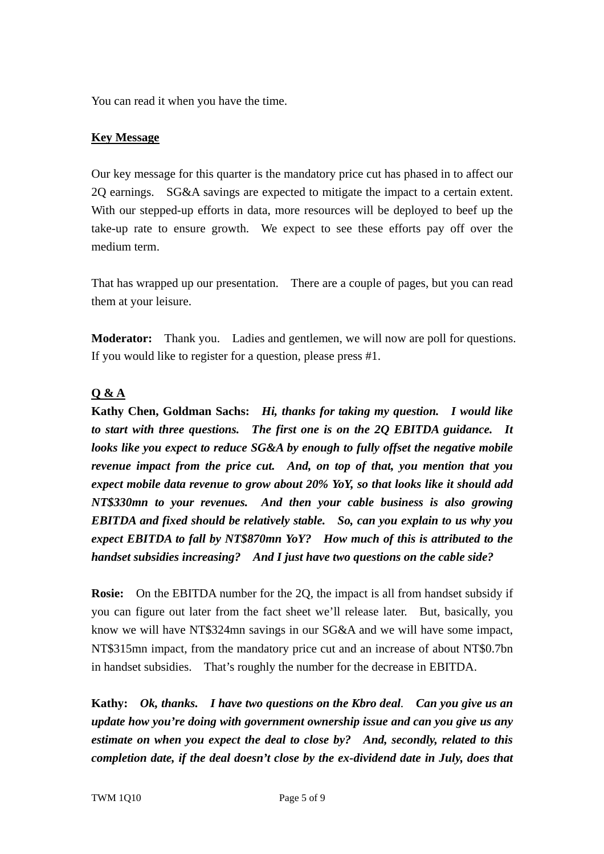You can read it when you have the time.

### **Key Message**

Our key message for this quarter is the mandatory price cut has phased in to affect our 2Q earnings. SG&A savings are expected to mitigate the impact to a certain extent. With our stepped-up efforts in data, more resources will be deployed to beef up the take-up rate to ensure growth. We expect to see these efforts pay off over the medium term.

That has wrapped up our presentation. There are a couple of pages, but you can read them at your leisure.

**Moderator:** Thank you. Ladies and gentlemen, we will now are poll for questions. If you would like to register for a question, please press #1.

# **Q & A**

**Kathy Chen, Goldman Sachs:** *Hi, thanks for taking my question. I would like to start with three questions. The first one is on the 2Q EBITDA guidance. It looks like you expect to reduce SG&A by enough to fully offset the negative mobile revenue impact from the price cut. And, on top of that, you mention that you expect mobile data revenue to grow about 20% YoY, so that looks like it should add NT\$330mn to your revenues. And then your cable business is also growing EBITDA and fixed should be relatively stable. So, can you explain to us why you expect EBITDA to fall by NT\$870mn YoY? How much of this is attributed to the handset subsidies increasing? And I just have two questions on the cable side?* 

**Rosie:** On the EBITDA number for the 2Q, the impact is all from handset subsidy if you can figure out later from the fact sheet we'll release later. But, basically, you know we will have NT\$324mn savings in our SG&A and we will have some impact, NT\$315mn impact, from the mandatory price cut and an increase of about NT\$0.7bn in handset subsidies. That's roughly the number for the decrease in EBITDA.

**Kathy:** *Ok, thanks. I have two questions on the Kbro deal. Can you give us an update how you're doing with government ownership issue and can you give us any estimate on when you expect the deal to close by? And, secondly, related to this completion date, if the deal doesn't close by the ex-dividend date in July, does that*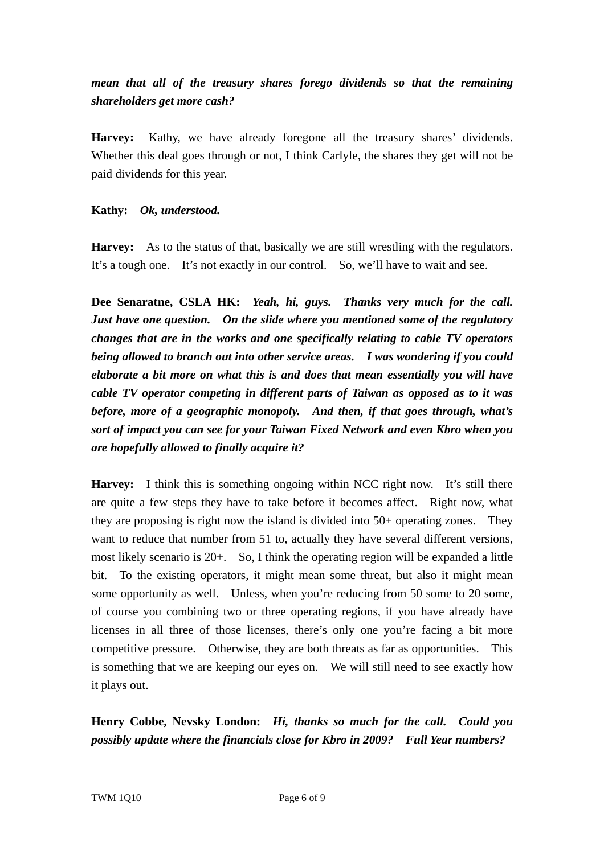# *mean that all of the treasury shares forego dividends so that the remaining shareholders get more cash?*

**Harvey:** Kathy, we have already foregone all the treasury shares' dividends. Whether this deal goes through or not, I think Carlyle, the shares they get will not be paid dividends for this year.

#### **Kathy:** *Ok, understood.*

**Harvey:** As to the status of that, basically we are still wrestling with the regulators. It's a tough one. It's not exactly in our control. So, we'll have to wait and see.

**Dee Senaratne, CSLA HK:** *Yeah, hi, guys. Thanks very much for the call. Just have one question. On the slide where you mentioned some of the regulatory changes that are in the works and one specifically relating to cable TV operators being allowed to branch out into other service areas. I was wondering if you could elaborate a bit more on what this is and does that mean essentially you will have cable TV operator competing in different parts of Taiwan as opposed as to it was before, more of a geographic monopoly. And then, if that goes through, what's sort of impact you can see for your Taiwan Fixed Network and even Kbro when you are hopefully allowed to finally acquire it?* 

**Harvey:** I think this is something ongoing within NCC right now. It's still there are quite a few steps they have to take before it becomes affect. Right now, what they are proposing is right now the island is divided into 50+ operating zones. They want to reduce that number from 51 to, actually they have several different versions, most likely scenario is 20+. So, I think the operating region will be expanded a little bit. To the existing operators, it might mean some threat, but also it might mean some opportunity as well. Unless, when you're reducing from 50 some to 20 some, of course you combining two or three operating regions, if you have already have licenses in all three of those licenses, there's only one you're facing a bit more competitive pressure. Otherwise, they are both threats as far as opportunities. This is something that we are keeping our eyes on. We will still need to see exactly how it plays out.

**Henry Cobbe, Nevsky London:** *Hi, thanks so much for the call. Could you possibly update where the financials close for Kbro in 2009? Full Year numbers?*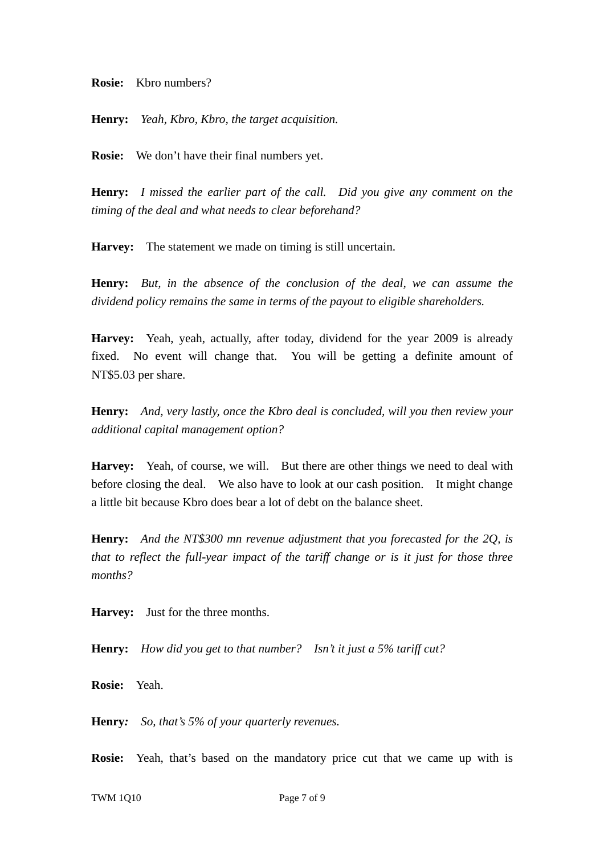**Rosie:** Kbro numbers?

**Henry:** *Yeah, Kbro, Kbro, the target acquisition.* 

**Rosie:** We don't have their final numbers yet.

**Henry:** *I missed the earlier part of the call. Did you give any comment on the timing of the deal and what needs to clear beforehand?*

**Harvey:** The statement we made on timing is still uncertain.

**Henry:** *But, in the absence of the conclusion of the deal, we can assume the dividend policy remains the same in terms of the payout to eligible shareholders.*

**Harvey:** Yeah, yeah, actually, after today, dividend for the year 2009 is already fixed. No event will change that. You will be getting a definite amount of NT\$5.03 per share.

**Henry:** *And, very lastly, once the Kbro deal is concluded, will you then review your additional capital management option?*

**Harvey:** Yeah, of course, we will. But there are other things we need to deal with before closing the deal. We also have to look at our cash position. It might change a little bit because Kbro does bear a lot of debt on the balance sheet.

**Henry:** *And the NT\$300 mn revenue adjustment that you forecasted for the 2Q, is that to reflect the full-year impact of the tariff change or is it just for those three months?*

**Harvey:** Just for the three months.

**Henry:** *How did you get to that number? Isn't it just a 5% tariff cut?* 

**Rosie:** Yeah.

**Henry***: So, that's 5% of your quarterly revenues.*

**Rosie:** Yeah, that's based on the mandatory price cut that we came up with is

TWM 1Q10 Page 7 of 9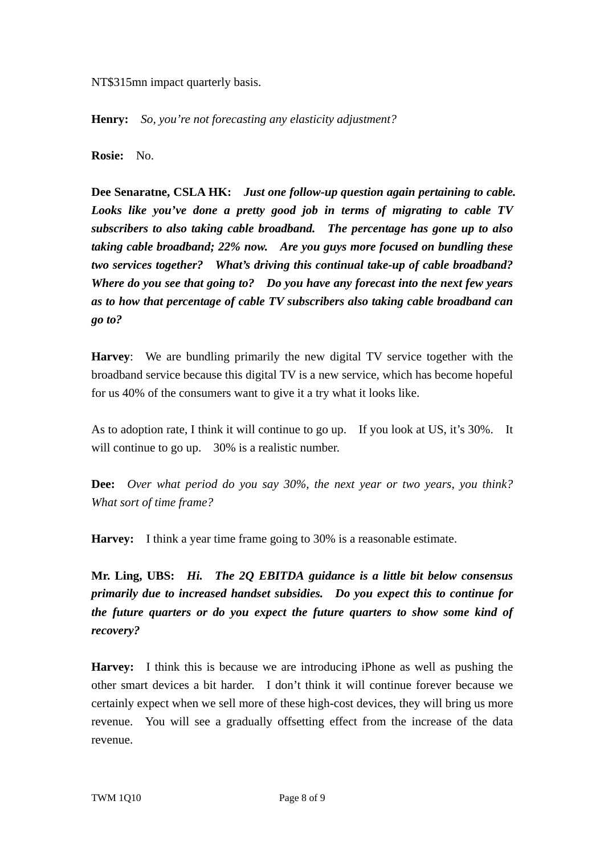NT\$315mn impact quarterly basis.

**Henry:** *So, you're not forecasting any elasticity adjustment?*

**Rosie:** No.

**Dee Senaratne, CSLA HK:** *Just one follow-up question again pertaining to cable. Looks like you've done a pretty good job in terms of migrating to cable TV subscribers to also taking cable broadband. The percentage has gone up to also taking cable broadband; 22% now. Are you guys more focused on bundling these two services together? What's driving this continual take-up of cable broadband? Where do you see that going to? Do you have any forecast into the next few years as to how that percentage of cable TV subscribers also taking cable broadband can go to?*

**Harvey**: We are bundling primarily the new digital TV service together with the broadband service because this digital TV is a new service, which has become hopeful for us 40% of the consumers want to give it a try what it looks like.

As to adoption rate, I think it will continue to go up. If you look at US, it's 30%. It will continue to go up. 30% is a realistic number.

**Dee:** *Over what period do you say 30%, the next year or two years, you think? What sort of time frame?*

**Harvey:** I think a year time frame going to 30% is a reasonable estimate.

**Mr. Ling, UBS:** *Hi. The 2Q EBITDA guidance is a little bit below consensus primarily due to increased handset subsidies. Do you expect this to continue for the future quarters or do you expect the future quarters to show some kind of recovery?*

**Harvey:** I think this is because we are introducing iPhone as well as pushing the other smart devices a bit harder. I don't think it will continue forever because we certainly expect when we sell more of these high-cost devices, they will bring us more revenue. You will see a gradually offsetting effect from the increase of the data revenue.